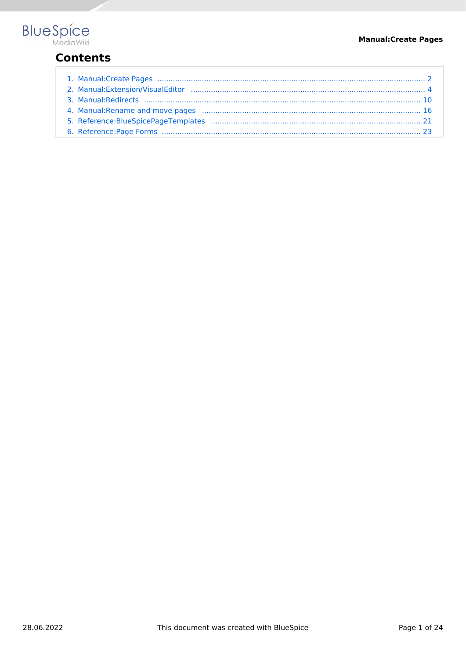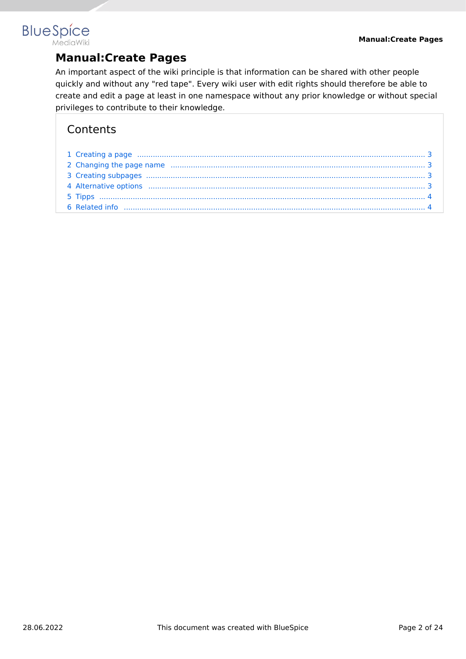## <span id="page-1-0"></span>**BlueSpice MediaWiki**

# **Manual:Create Pages**

An important aspect of the wiki principle is that information can be shared with other people quickly and without any "red tape". Every wiki user with edit rights should therefore be able to create and edit a page at least in one namespace without any prior knowledge or without special privileges to contribute to their knowledge.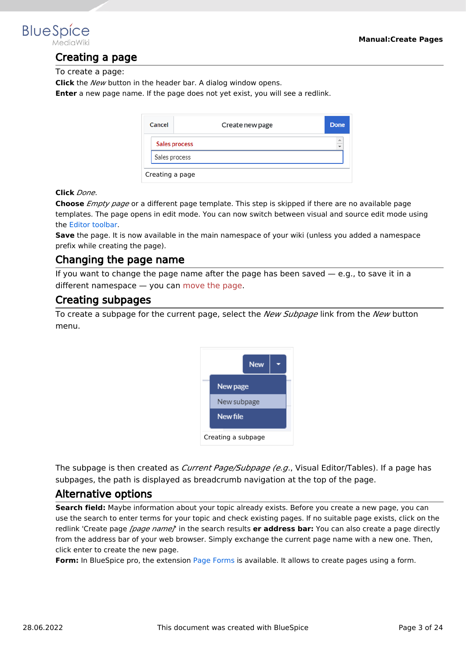<span id="page-2-0"></span>

## Creating a page

To create a page:

**Click** the *New* button in the header bar. A dialog window opens.

**Enter** a new page name. If the page does not yet exist, you will see a redlink.

| Cancel        | Create new page | Done      |
|---------------|-----------------|-----------|
|               | Sales process   | $\hat{=}$ |
| Sales process |                 |           |
|               | Creating a page |           |

#### **Click** *Done*.

**Choose** *Empty page* or a different page template. This step is skipped if there are no available page templates. The page opens in edit mode. You can now switch between visual and source edit mode using the [Editor toolbar.](#page-3-0)

**Save** the page. It is now available in the main namespace of your wiki (unless you added a namespace prefix while creating the page).

## <span id="page-2-1"></span>Changing the page name

If you want to change the page name after the page has been saved  $-$  e.g., to save it in a different namespace — you can [move the page](https://en.wiki.bluespice.com/w/index.php?title=Manual:Rename_and_move_a_page&action=view).

## <span id="page-2-2"></span>Creating subpages

To create a subpage for the current page, select the *New Subpage* link from the *New* button menu.



The subpage is then created as *Current Page/Subpage (e.g*., Visual Editor/Tables). If a page has subpages, the path is displayed as breadcrumb navigation at the top of the page.

## <span id="page-2-3"></span>Alternative options

**Search field:** Maybe information about your topic already exists. Before you create a new page, you can use the search to enter terms for your topic and check existing pages. If no suitable page exists, click on the redlink 'Create page *[page name]*' in the search results **er address bar:** You can also create a page directly from the address bar of your web browser. Simply exchange the current page name with a new one. Then, click enter to create the new page.

**Form:** In BlueSpice pro, the extension [Page Forms](#page-22-0) is available. It allows to create pages using a form.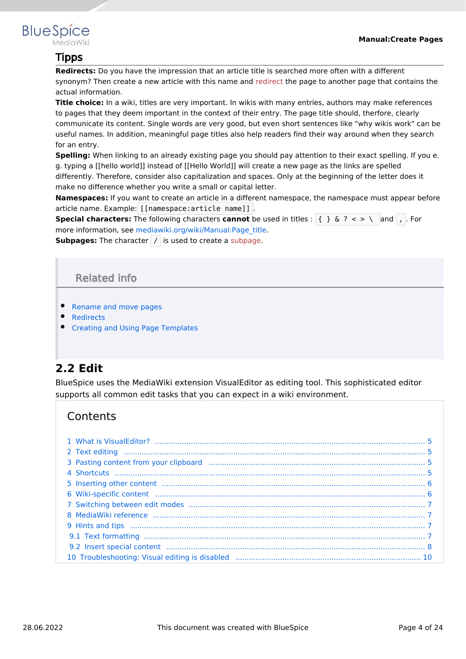<span id="page-3-1"></span>

## Tipps

**Redirects:** Do you have the impression that an article title is searched more often with a different synonym? Then create a new article with this name and [redirect](https://en.wiki.bluespice.com/w/index.php?title=Manual:Using_Redirects&action=view) the page to another page that contains the actual information.

**Title choice:** In a wiki, titles are very important. In wikis with many entries, authors may make references to pages that they deem important in the context of their entry. The page title should, therfore, clearly communicate its content. Single words are very good, but even short sentences like "why wikis work" can be useful names. In addition, meaningful page titles also help readers find their way around when they search for an entry.

**Spelling:** When linking to an already existing page you should pay attention to their exact spelling. If you e. g. typing a [[hello world]] instead of [[Hello World]] will create a new page as the links are spelled differently. Therefore, consider also capitalization and spaces. Only at the beginning of the letter does it make no difference whether you write a small or capital letter.

**Namespaces:** If you want to create an article in a different namespace, the namespace must appear before article name. Example: [[namespace:article name]] .

**Special characters:** The following characters **cannot** be used in titles : { } & ? < > \ and , . For more information, see [mediawiki.org/wiki/Manual:Page\\_title.](https://www.mediawiki.org/wiki/Manual:Page_title)

<span id="page-3-2"></span>**Subpages:** The character / is used to create a [subpage](https://en.wiki.bluespice.com/w/index.php?title=Subpage&action=view).

## Related info

- [Rename and move pages](#page-15-0)
- [Redirects](#page-9-0)
- **[Creating and Using Page Templates](#page-20-0)**

# <span id="page-3-0"></span>**2.2 Edit**

BlueSpice uses the MediaWiki extension VisualEditor as editing tool. This sophisticated editor supports all common edit tasks that you can expect in a wiki environment.

| 3 Pasting content from your clipboard manufactured and contain manufactured by 5                                                                                                                                                     |  |
|--------------------------------------------------------------------------------------------------------------------------------------------------------------------------------------------------------------------------------------|--|
|                                                                                                                                                                                                                                      |  |
| 5 Inserting other content manufactured content of the content of the content of the content of the content of the content of the content of the content of the content of the content of the content of the content of the con       |  |
|                                                                                                                                                                                                                                      |  |
|                                                                                                                                                                                                                                      |  |
|                                                                                                                                                                                                                                      |  |
| 9 Hints and tips <b>with the contract of the contract of the contract of the contract of the contract of the contract of the contract of the contract of the contract of the contract of the contract of the contract of the con</b> |  |
|                                                                                                                                                                                                                                      |  |
| 9.2 Insert special content manufacture and content and content of the content of the content of the content of the content of the content of the content of the content of the content of the content of the content of the co       |  |
|                                                                                                                                                                                                                                      |  |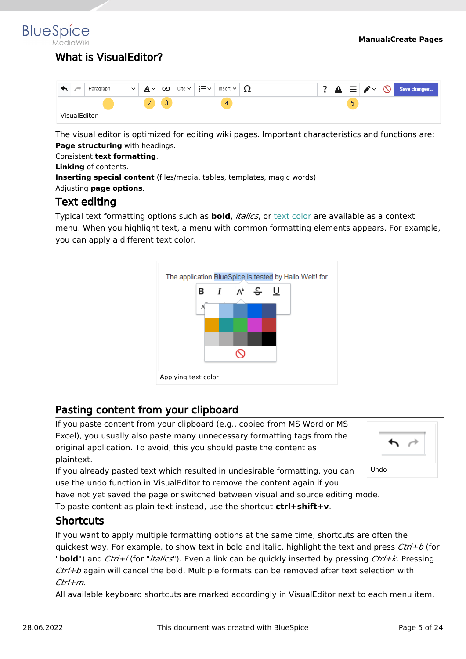# <span id="page-4-0"></span>What is VisualEditor?

| Paragraph           | $\checkmark$<br>$\checkmark$<br>≏ | i≡∽<br>Cite $\vee$<br>ు<br>Insert $\vee$ | ▲<br>∸∸ | $\circ$<br>$\sim$<br>三<br>Save changes<br>-- |
|---------------------|-----------------------------------|------------------------------------------|---------|----------------------------------------------|
|                     | $\overline{\phantom{a}}$<br>-     | $\sim$<br>4<br>◡                         |         | 5                                            |
| <b>VisualEditor</b> |                                   |                                          |         |                                              |

The visual editor is optimized for editing wiki pages. Important characteristics and functions are: **Page structuring** with headings.

Consistent **text formatting**.

**Linking** of contents.

**Inserting special content** (files/media, tables, templates, magic words)

<span id="page-4-1"></span>Adjusting **page options**.

## Text editing

Typical text formatting options such as **bold**, *italics*, or text color are available as a context menu. When you highlight text, a menu with common formatting elements appears. For example, you can apply a different text color.



# <span id="page-4-2"></span>Pasting content from your clipboard

If you paste content from your clipboard (e.g., copied from MS Word or MS Excel), you usually also paste many unnecessary formatting tags from the original application. To avoid, this you should paste the content as plaintext.

If you already pasted text which resulted in undesirable formatting, you can use the undo function in VisualEditor to remove the content again if you



have not yet saved the page or switched between visual and source editing mode.

To paste content as plain text instead, use the shortcut **ctrl+shift+v**.

## <span id="page-4-3"></span>**Shortcuts**

If you want to apply multiple formatting options at the same time, shortcuts are often the quickest way. For example, to show text in bold and italic, highlight the text and press *Ctrl+b* (for "**bold**") and *Ctrl+i* (for "*italics*"). Even a link can be quickly inserted by pressing *Ctrl+k*. Pressing *Ctrl+b* again will cancel the bold. Multiple formats can be removed after text selection with *Ctrl+m*.

All available keyboard shortcuts are marked accordingly in VisualEditor next to each menu item.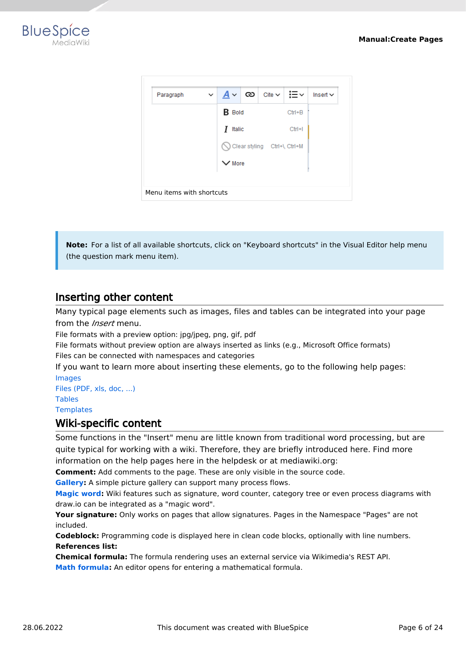



**Note:** For a list of all available shortcuts, click on "Keyboard shortcuts" in the Visual Editor help menu (the question mark menu item).

## <span id="page-5-0"></span>Inserting other content

Many typical page elements such as images, files and tables can be integrated into your page from the *Insert* menu.

File formats with a preview option: jpg/jpeg, png, gif, pdf

File formats without preview option are always inserted as links (e.g., Microsoft Office formats) Files can be connected with namespaces and categories

If you want to learn more about inserting these elements, go to the following help pages: [Images](https://en.wiki.bluespice.com/wiki/Manual:Extension/VisualEditor/Images)

[Files \(PDF, xls, doc, ...\)](https://en.wiki.bluespice.com/wiki/Manual:Extension/VisualEditor/Images) [Tables](https://en.wiki.bluespice.com/wiki/Manual:Extension/VisualEditor/Tables) **[Templates](https://en.wiki.bluespice.com/wiki/Manual:Templates)** 

## <span id="page-5-1"></span>Wiki-specific content

Some functions in the "Insert" menu are little known from traditional word processing, but are quite typical for working with a wiki. Therefore, they are briefly introduced here. Find more information on the help pages here in the helpdesk or at mediawiki.org:

**Comment:** Add comments to the page. These are only visible in the source code.

**[Gallery:](https://www.mediawiki.org/wiki/Help:VisualEditor/User_guide#Editing_media_galleries)** A simple picture gallery can support many process flows.

**[Magic word](https://en.wiki.bluespice.com/wiki/Manual:MagicWords):** Wiki features such as signature, word counter, category tree or even process diagrams with draw.io can be integrated as a "magic word".

**Your signature:** Only works on pages that allow signatures. Pages in the Namespace "Pages" are not included.

**Codeblock:** Programming code is displayed here in clean code blocks, optionally with line numbers. **References list:**

**Chemical formula:** The formula rendering uses an external service via Wikimedia's REST API.

**[Math formula](https://www.mediawiki.org/wiki/Help:VisualEditor/User_guide/en#Editing_mathematical_formulae):** An editor opens for entering a mathematical formula.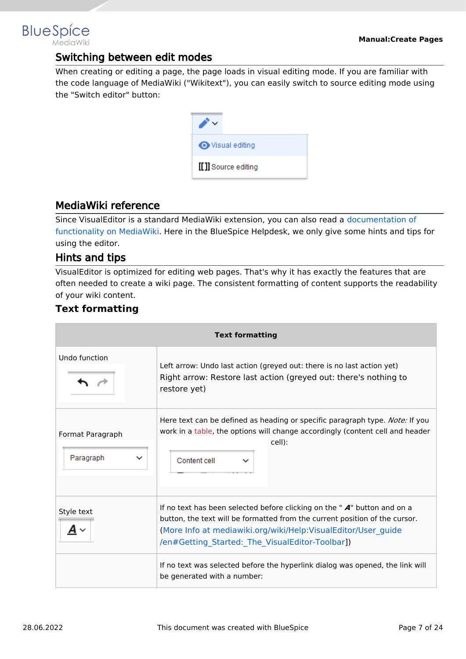# <span id="page-6-0"></span>Switching between edit modes

When creating or editing a page, the page loads in visual editing mode. If you are familiar with the code language of MediaWiki ("Wikitext"), you can easily switch to source editing mode using the "Switch editor" button:

| <b>◆</b> Visual editing |
|-------------------------|
| [[]] Source editing     |

# <span id="page-6-1"></span>MediaWiki reference

Since VisualEditor is a standard MediaWiki extension, you can also read a [documentation of](https://www.mediawiki.org/wiki/Help:VisualEditor/User_guide/en%7Ccomplete)  [functionality on MediaWiki](https://www.mediawiki.org/wiki/Help:VisualEditor/User_guide/en%7Ccomplete). Here in the BlueSpice Helpdesk, we only give some hints and tips for using the editor.

# <span id="page-6-2"></span>Hints and tips

VisualEditor is optimized for editing web pages. That's why it has exactly the features that are often needed to create a wiki page. The consistent formatting of content supports the readability of your wiki content.

# <span id="page-6-3"></span>**Text formatting**

| <b>Text formatting</b>                       |                                                                                                                                                                                                                                                                                |  |  |
|----------------------------------------------|--------------------------------------------------------------------------------------------------------------------------------------------------------------------------------------------------------------------------------------------------------------------------------|--|--|
| Undo function                                | Left arrow: Undo last action (greyed out: there is no last action yet)<br>Right arrow: Restore last action (greyed out: there's nothing to<br>restore yet)                                                                                                                     |  |  |
| Format Paragraph<br>Paragraph<br>$\check{ }$ | Here text can be defined as heading or specific paragraph type. <i>Note:</i> If you<br>work in a table, the options will change accordingly (content cell and header<br>cell):<br>Content cell                                                                                 |  |  |
| Style text                                   | If no text has been selected before clicking on the " $A$ " button and on a<br>button, the text will be formatted from the current position of the cursor.<br>(More Info at mediawiki.org/wiki/Help:VisualEditor/User guide<br>/en#Getting_Started:_The_VisualEditor-Toolbar]) |  |  |
|                                              | If no text was selected before the hyperlink dialog was opened, the link will<br>be generated with a number:                                                                                                                                                                   |  |  |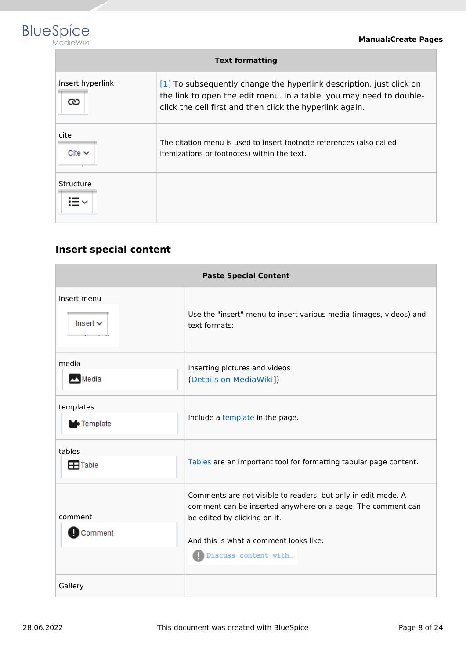

| <b>Text formatting</b> |                                                                                                                                                                                                        |  |  |
|------------------------|--------------------------------------------------------------------------------------------------------------------------------------------------------------------------------------------------------|--|--|
| Insert hyperlink<br>ు  | [1] To subsequently change the hyperlink description, just click on<br>the link to open the edit menu. In a table, you may need to double-<br>click the cell first and then click the hyperlink again. |  |  |
| cite<br>Cite $\vee$    | The citation menu is used to insert footnote references (also called<br>itemizations or footnotes) within the text.                                                                                    |  |  |
| Structure              |                                                                                                                                                                                                        |  |  |

# <span id="page-7-0"></span>**Insert special content**

| <b>Paste Special Content</b>   |                                                                                                                                                                                                                                |  |  |
|--------------------------------|--------------------------------------------------------------------------------------------------------------------------------------------------------------------------------------------------------------------------------|--|--|
| Insert menu<br>Insert $\sim$   | Use the "insert" menu to insert various media (images, videos) and<br>text formats:                                                                                                                                            |  |  |
| media<br>Media                 | Inserting pictures and videos<br>(Details on MediaWiki])                                                                                                                                                                       |  |  |
| templates<br><b>D</b> Template | Include a template in the page.                                                                                                                                                                                                |  |  |
| tables<br>$\mathbf{H}$ Table   | Tables are an important tool for formatting tabular page content.                                                                                                                                                              |  |  |
| comment<br>Comment             | Comments are not visible to readers, but only in edit mode. A<br>comment can be inserted anywhere on a page. The comment can<br>be edited by clicking on it.<br>And this is what a comment looks like:<br>Discuss content with |  |  |
| Gallery                        |                                                                                                                                                                                                                                |  |  |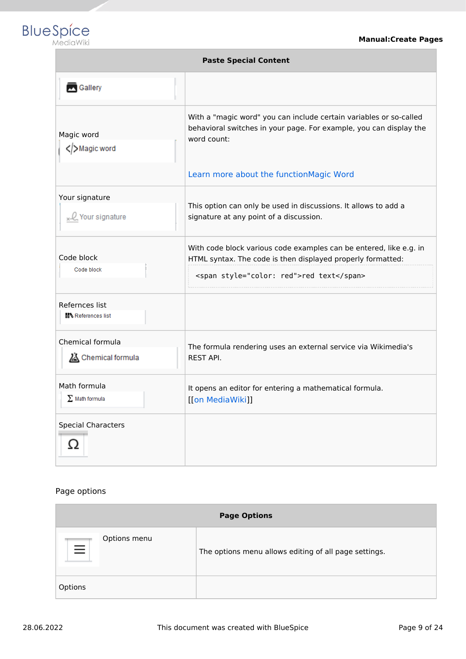

| <b>Paste Special Content</b>          |                                                                                                                                                                                                    |  |  |
|---------------------------------------|----------------------------------------------------------------------------------------------------------------------------------------------------------------------------------------------------|--|--|
| Gallery                               |                                                                                                                                                                                                    |  |  |
| Magic word<br>Magic word              | With a "magic word" you can include certain variables or so-called<br>behavioral switches in your page. For example, you can display the<br>word count:<br>Learn more about the functionMagic Word |  |  |
| Your signature<br>Q Your signature    | This option can only be used in discussions. It allows to add a<br>signature at any point of a discussion.                                                                                         |  |  |
| Code block<br>Code block              | With code block various code examples can be entered, like e.g. in<br>HTML syntax. The code is then displayed properly formatted:<br><span style="color: red">red text</span>                      |  |  |
| Refernces list<br>References list     |                                                                                                                                                                                                    |  |  |
| Chemical formula<br>Chemical formula  | The formula rendering uses an external service via Wikimedia's<br><b>REST API.</b>                                                                                                                 |  |  |
| Math formula<br>$\Sigma$ Math formula | It opens an editor for entering a mathematical formula.<br>[[on MediaWiki]]                                                                                                                        |  |  |
| <b>Special Characters</b><br>Ω        |                                                                                                                                                                                                    |  |  |

### Page options

| <b>Page Options</b>      |                                                       |  |
|--------------------------|-------------------------------------------------------|--|
| Options menu<br>$\equiv$ | The options menu allows editing of all page settings. |  |
| Options                  |                                                       |  |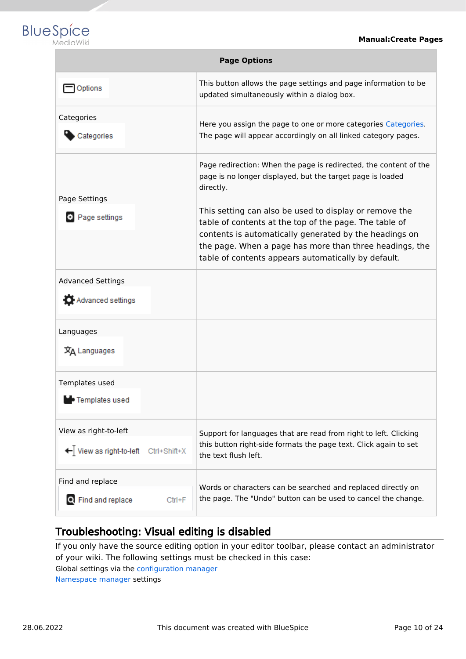

| <b>Page Options</b>                                              |                                                                                                                                                                                                                                                                                              |  |  |
|------------------------------------------------------------------|----------------------------------------------------------------------------------------------------------------------------------------------------------------------------------------------------------------------------------------------------------------------------------------------|--|--|
| Options                                                          | This button allows the page settings and page information to be<br>updated simultaneously within a dialog box.                                                                                                                                                                               |  |  |
| Categories<br>Categories                                         | Here you assign the page to one or more categories Categories.<br>The page will appear accordingly on all linked category pages.                                                                                                                                                             |  |  |
| Page Settings                                                    | Page redirection: When the page is redirected, the content of the<br>page is no longer displayed, but the target page is loaded<br>directly.                                                                                                                                                 |  |  |
| Page settings                                                    | This setting can also be used to display or remove the<br>table of contents at the top of the page. The table of<br>contents is automatically generated by the headings on<br>the page. When a page has more than three headings, the<br>table of contents appears automatically by default. |  |  |
| <b>Advanced Settings</b><br>Advanced settings                    |                                                                                                                                                                                                                                                                                              |  |  |
| Languages<br>文A Languages                                        |                                                                                                                                                                                                                                                                                              |  |  |
| Templates used<br>• Templates used                               |                                                                                                                                                                                                                                                                                              |  |  |
| View as right-to-left<br>← View as right-to-left<br>Ctrl+Shift+X | Support for languages that are read from right to left. Clicking<br>this button right-side formats the page text. Click again to set<br>the text flush left.                                                                                                                                 |  |  |
| Find and replace<br>Q Find and replace<br>$Ctrl + F$             | Words or characters can be searched and replaced directly on<br>the page. The "Undo" button can be used to cancel the change.                                                                                                                                                                |  |  |

# <span id="page-9-1"></span>Troubleshooting: Visual editing is disabled

If you only have the source editing option in your editor toolbar, please contact an administrator of your wiki. The following settings must be checked in this case:

Global settings via the [configuration manager](https://en.wiki.bluespice.com/wiki/Manual:Extension/BlueSpiceConfigManager)

<span id="page-9-0"></span>[Namespace manager](https://en.wiki.bluespice.com/wiki/Manual:Extension/BlueSpiceNamespaceManager) settings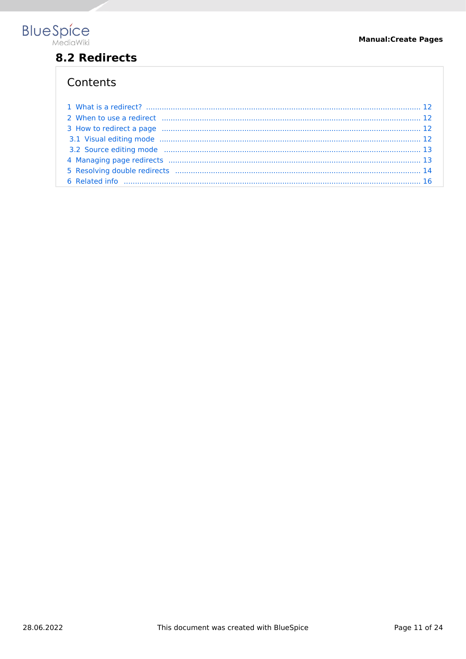

# 8.2 Redirects

| 2 When to use a redirect minimum minimum minimum minimum minimum minimum 12                                    |  |
|----------------------------------------------------------------------------------------------------------------|--|
|                                                                                                                |  |
|                                                                                                                |  |
| 3.2 Source editing mode manufactured and contract the material contract of the material of the material of the |  |
|                                                                                                                |  |
|                                                                                                                |  |
|                                                                                                                |  |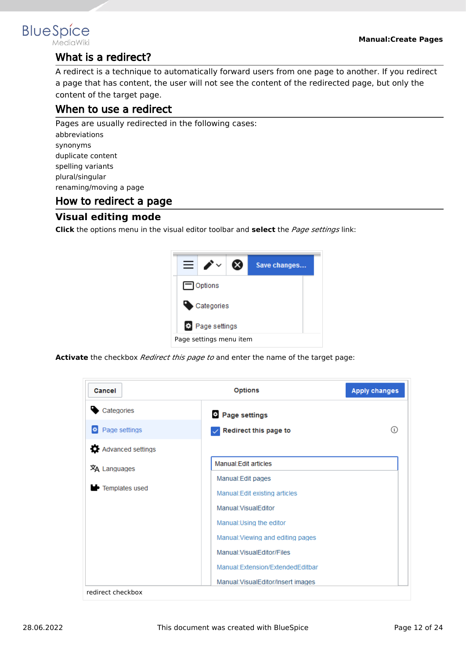

# <span id="page-11-0"></span>What is a redirect?

A redirect is a technique to automatically forward users from one page to another. If you redirect a page that has content, the user will not see the content of the redirected page, but only the content of the target page.

# <span id="page-11-1"></span>When to use a redirect

Pages are usually redirected in the following cases: abbreviations synonyms duplicate content spelling variants

plural/singular renaming/moving a page

# <span id="page-11-2"></span>How to redirect a page

# <span id="page-11-3"></span>**Visual editing mode**

**Click** the options menu in the visual editor toolbar and **select** the *Page settings* link:



**Activate** the checkbox *Redirect this page to* and enter the name of the target page:

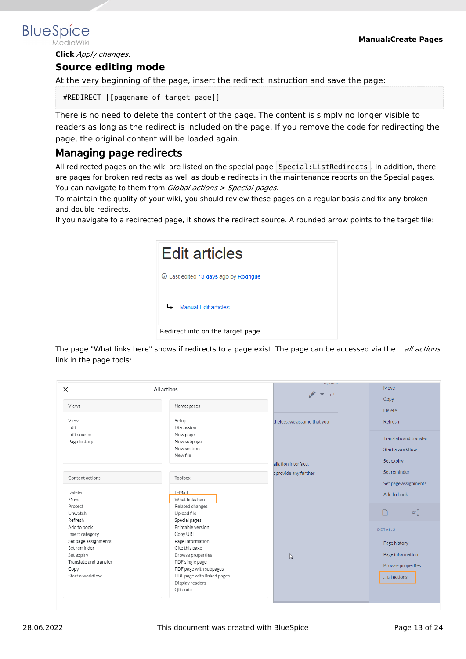3. **Click** *Apply changes*.

### <span id="page-12-0"></span>**Source editing mode**

At the very beginning of the page, insert the redirect instruction and save the page:

#REDIRECT [[pagename of target page]]

There is no need to delete the content of the page. The content is simply no longer visible to readers as long as the redirect is included on the page. If you remove the code for redirecting the page, the original content will be loaded again.

## <span id="page-12-1"></span>Managing page redirects

All redirected pages on the wiki are listed on the special page Special: ListRedirects . In addition, there are pages for broken redirects as well as double redirects in the maintenance reports on the Special pages. You can navigate to them from *Global actions > Special pages*.

To maintain the quality of your wiki, you should review these pages on a regular basis and fix any broken and double redirects.

If you navigate to a redirected page, it shows the redirect source. A rounded arrow points to the target file:



The page "What links here" shows if redirects to a page exist. The page can be accessed via the *...all actions* link in the page tools:

| $\times$               | All actions                | <b>DY IVILIA</b><br>$\Box$<br>$\overline{\mathbf{v}}$ | Move                     |
|------------------------|----------------------------|-------------------------------------------------------|--------------------------|
|                        |                            |                                                       | Copy                     |
| Views                  | Namespaces                 |                                                       | <b>Delete</b>            |
| View                   | Setup                      | theless, we assume that you                           | Refresh                  |
| Edit                   | Discussion                 |                                                       |                          |
| Edit source            | New page                   |                                                       | Translate and transfer   |
| Page history           | New subpage                |                                                       |                          |
|                        | New section                |                                                       | Start a workflow         |
|                        | New file                   |                                                       |                          |
|                        |                            | allation interface.                                   | Set expiry               |
|                        |                            | t provide any further                                 | Set reminder             |
| Content actions        | Toolbox                    |                                                       |                          |
|                        |                            |                                                       | Set page assignments     |
| Delete                 | E-Mail                     |                                                       | Add to book              |
| Move                   | What links here            |                                                       |                          |
| Protect                | Related changes            |                                                       |                          |
| Unwatch                | Upload file                |                                                       | $\propto$                |
| Refresh                | Special pages              |                                                       |                          |
| Add to book            | Printable version          |                                                       | DETAILS                  |
| Insert category        | Copy URL                   |                                                       |                          |
| Set page assignments   | Page information           |                                                       | Page history             |
| Set reminder           | Cite this page             |                                                       |                          |
| Set expiry             | Browse properties          | $\beta$                                               | Page information         |
| Translate and transfer | PDF single page            |                                                       | <b>Browse properties</b> |
| Copy                   | PDF page with subpages     |                                                       |                          |
| Start a workflow       | PDF page with linked pages |                                                       | all actions              |
|                        | Display readers            |                                                       |                          |
|                        | QR code                    |                                                       |                          |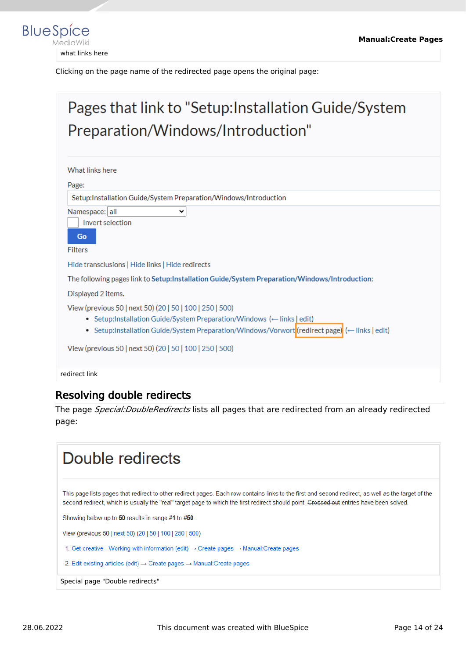

Clicking on the page name of the redirected page opens the original page:

# Pages that link to "Setup: Installation Guide/System Preparation/Windows/Introduction" What links here Page: Setup:Installation Guide/System Preparation/Windows/Introduction Namespace: all  $\checkmark$ Invert selection Go Filters Hide transclusions | Hide links | Hide redirects The following pages link to Setup:Installation Guide/System Preparation/Windows/Introduction: Displayed 2 items. View (previous 50 | next 50) (20 | 50 | 100 | 250 | 500) • Setup:Installation Guide/System Preparation/Windows (- links | edit) • Setup:Installation Guide/System Preparation/Windows/Vorwort(redirect page) (- links | edit) View (previous 50 | next 50) (20 | 50 | 100 | 250 | 500)

redirect link

# <span id="page-13-0"></span>Resolving double redirects

The page *Special:DoubleRedirects* lists all pages that are redirected from an already redirected page:

# Double redirects This page lists pages that redirect to other redirect pages. Each row contains links to the first and second redirect, as well as the target of the second redirect, which is usually the "real" target page to which the first redirect should point. Crossed out entries have been solved. Showing below up to 50 results in range #1 to #50. View (previous 50 | next 50) (20 | 50 | 100 | 250 | 500) 1. Get creative - Working with information (edit) → Create pages → Manual: Create pages 2. Edit existing articles (edit)  $\rightarrow$  Create pages  $\rightarrow$  Manual: Create pages Special page "Double redirects"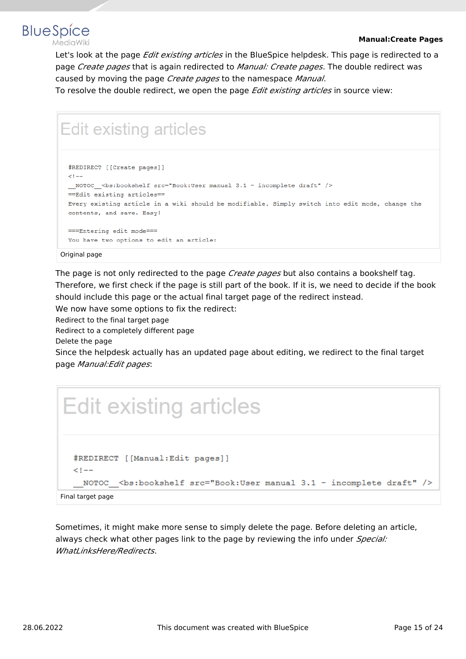

Let's look at the page *Edit existing articles* in the BlueSpice helpdesk. This page is redirected to a page *Create pages* that is again redirected to *Manual: Create pages*. The double redirect was caused by moving the page *Create pages* to the namespace *Manual*.

To resolve the double redirect, we open the page *Edit existing articles* in source view:

# **Edit existing articles**

```
#REDIRECT [[Create pages]]
\leq 1 - 1_NOTOC_<bs:bookshelf src="Book:User manual 3.1 - incomplete draft" />
== Edit existing articles==
Every existing article in a wiki should be modifiable. Simply switch into edit mode, change the
contents, and save. Easy!
===Entering edit mode===
You have two options to edit an article:
```
#### Original page

**BlueSpice** 

The page is not only redirected to the page *Create pages* but also contains a bookshelf tag. Therefore, we first check if the page is still part of the book. If it is, we need to decide if the book should include this page or the actual final target page of the redirect instead.

We now have some options to fix the redirect:

Redirect to the final target page

Redirect to a completely different page

Delete the page

Since the helpdesk actually has an updated page about editing, we redirect to the final target page *Manual:Edit pages*:



Sometimes, it might make more sense to simply delete the page. Before deleting an article, always check what other pages link to the page by reviewing the info under *Special: WhatLinksHere/Redirects*.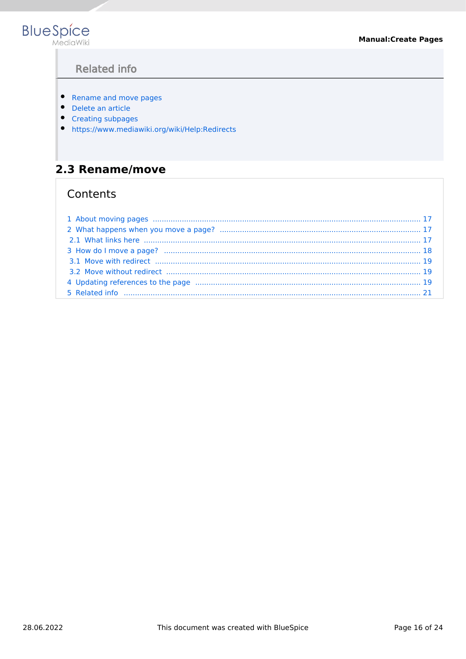<span id="page-15-1"></span>

# **Related info**

- Rename and move pages
- Delete an article
- Creating subpages
- https://www.mediawiki.org/wiki/Help:Redirects

# <span id="page-15-0"></span>2.3 Rename/move

| 4 Updating references to the page manufactured contain and contain an approximation of the page of the page of the page $\sim$ 19 |  |
|-----------------------------------------------------------------------------------------------------------------------------------|--|
|                                                                                                                                   |  |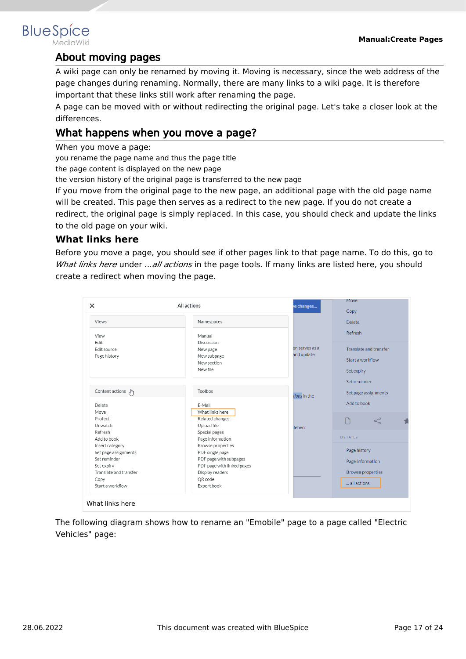# <span id="page-16-0"></span>About moving pages

A wiki page can only be renamed by moving it. Moving is necessary, since the web address of the page changes during renaming. Normally, there are many links to a wiki page. It is therefore important that these links still work after renaming the page.

A page can be moved with or without redirecting the original page. Let's take a closer look at the differences.

# <span id="page-16-1"></span>What happens when you move a page?

When you move a page:

you rename the page name and thus the page title

the page content is displayed on the new page

the version history of the original page is transferred to the new page

If you move from the original page to the new page, an additional page with the old page name will be created. This page then serves as a redirect to the new page. If you do not create a redirect, the original page is simply replaced. In this case, you should check and update the links to the old page on your wiki.

## <span id="page-16-2"></span>**What links here**

Before you move a page, you should see if other pages link to that page name. To do this, go to *What links here* under *...all actions* in the page tools. If many links are listed here, you should create a redirect when moving the page.

| $\times$                            | All actions                                                      | e changes                    | Move                                                     |
|-------------------------------------|------------------------------------------------------------------|------------------------------|----------------------------------------------------------|
| Views                               | Namespaces                                                       |                              | Copy<br><b>Delete</b>                                    |
| View                                | Manual                                                           |                              | Refresh                                                  |
| Edit<br>Edit source<br>Page history | Discussion<br>New page<br>New subpage<br>New section<br>New file | en serves as a<br>and update | Translate and transfer<br>Start a workflow<br>Set expiry |
| Content actions (m)                 | Toolbox                                                          | tions in the                 | Set reminder<br>Set page assignments                     |
| <b>Delete</b>                       | E-Mail                                                           |                              | Add to book                                              |
| Move                                | What links here                                                  |                              |                                                          |
| Protect<br>Unwatch                  | Related changes<br>Upload file                                   |                              | $\propto$                                                |
| Refresh                             | Special pages                                                    | ieben'                       |                                                          |
| Add to book                         | Page information                                                 |                              | DETAILS                                                  |
| Insert category                     | Browse properties                                                |                              |                                                          |
| Set page assignments                | PDF single page                                                  |                              | Page history                                             |
| Set reminder                        | PDF page with subpages                                           |                              | Page information                                         |
| Set expiry                          | PDF page with linked pages                                       |                              |                                                          |
| Translate and transfer              | Display readers                                                  |                              | <b>Browse properties</b>                                 |
| Copy<br>Start a workflow            | QR code<br>Export book                                           |                              | all actions                                              |

The following diagram shows how to rename an "Emobile" page to a page called "Electric Vehicles" page: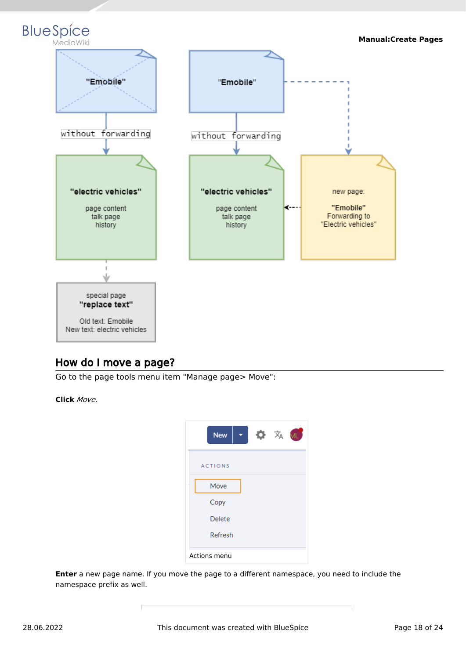

# <span id="page-17-0"></span>How do I move a page?

Go to the page tools menu item "Manage page> Move":

**Click** *Move.*



**Enter** a new page name. If you move the page to a different namespace, you need to include the namespace prefix as well.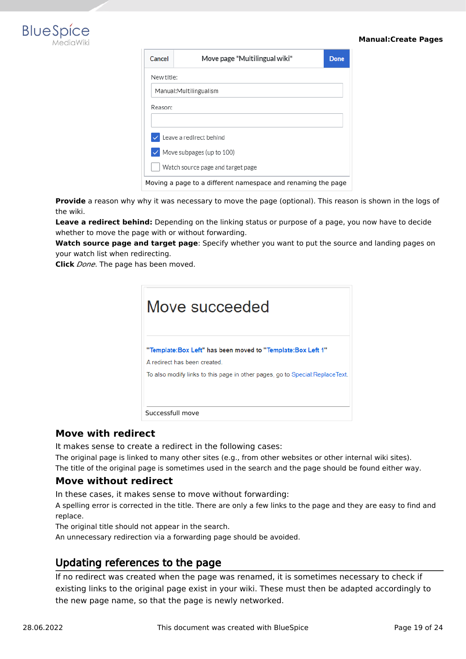

2.

#### **Manual:Create Pages**

| Cancel                                                       | Move page "Multilingual wiki"     | <b>Done</b> |  |  |  |
|--------------------------------------------------------------|-----------------------------------|-------------|--|--|--|
|                                                              | New title:                        |             |  |  |  |
| Manual: Multilingualism                                      |                                   |             |  |  |  |
| Reason:                                                      |                                   |             |  |  |  |
|                                                              |                                   |             |  |  |  |
|                                                              | Leave a redirect behind           |             |  |  |  |
|                                                              | $\vee$ Move subpages (up to 100)  |             |  |  |  |
|                                                              | Watch source page and target page |             |  |  |  |
| Moving a page to a different namespace and renaming the page |                                   |             |  |  |  |

Provide a reason why why it was necessary to move the page (optional). This reason is shown in the logs of the wiki.

**Leave a redirect behind:** Depending on the linking status or purpose of a page, you now have to decide whether to move the page with or without forwarding.

**Watch source page and target page**: Specify whether you want to put the source and landing pages on your watch list when redirecting.

**Click** *Done*. The page has been moved.

| Move succeeded                                                                                                                                                              |
|-----------------------------------------------------------------------------------------------------------------------------------------------------------------------------|
| "Template:Box Left" has been moved to "Template:Box Left 1"<br>A redirect has been created<br>To also modify links to this page in other pages, go to Special: ReplaceText. |
| Successfull move                                                                                                                                                            |

### <span id="page-18-0"></span>**Move with redirect**

It makes sense to create a redirect in the following cases:

The original page is linked to many other sites (e.g., from other websites or other internal wiki sites). The title of the original page is sometimes used in the search and the page should be found either way.

### <span id="page-18-1"></span>**Move without redirect**

In these cases, it makes sense to move without forwarding:

A spelling error is corrected in the title. There are only a few links to the page and they are easy to find and replace.

The original title should not appear in the search.

An unnecessary redirection via a forwarding page should be avoided.

## <span id="page-18-2"></span>Updating references to the page

If no redirect was created when the page was renamed, it is sometimes necessary to check if existing links to the original page exist in your wiki. These must then be adapted accordingly to the new page name, so that the page is newly networked.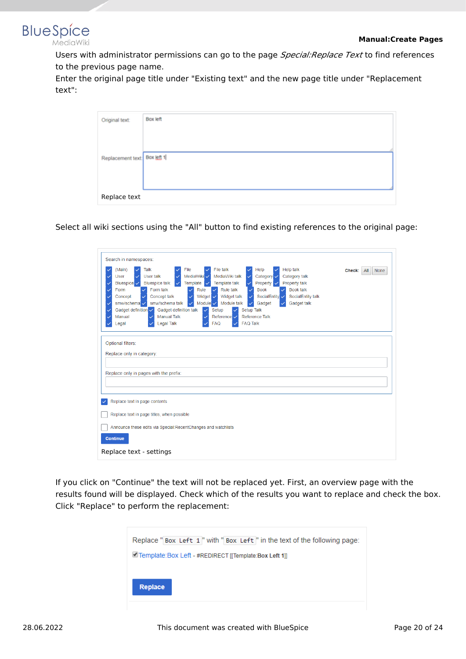

Users with administrator permissions can go to the page *Special:Replace Text* to find references to the previous page name.

Enter the original page title under "Existing text" and the new page title under "Replacement text":

| Original text:               | Box left |  |
|------------------------------|----------|--|
|                              |          |  |
| Replacement text: Box left 1 |          |  |
|                              |          |  |
|                              |          |  |
| Replace text                 |          |  |

Select all wiki sections using the "All" button to find existing references to the original page:

| Search in namespaces:                                                                                                                                                                                                                                                                                                                                                                                                                                                                                                                                                                                                                                                                                                                                                                                                                                     |  |  |  |
|-----------------------------------------------------------------------------------------------------------------------------------------------------------------------------------------------------------------------------------------------------------------------------------------------------------------------------------------------------------------------------------------------------------------------------------------------------------------------------------------------------------------------------------------------------------------------------------------------------------------------------------------------------------------------------------------------------------------------------------------------------------------------------------------------------------------------------------------------------------|--|--|--|
| File<br>File talk<br><b>Help talk</b><br>(Main)<br>Talk<br>Help<br>Check:<br>$A$ ll<br><b>None</b><br>MediaWiki V<br>MediaWiki talk<br>Category v<br>Category talk<br>User<br>User talk<br>Property<br>Property talk<br><b>Bluespice talk</b><br>Template<br>Template talk<br>Bluespice V<br><b>Book talk</b><br>Form talk<br>Rule talk<br><b>Book</b><br>Form<br>Rule<br>Concept talk<br>Widget $\overline{\smile}$<br>Widget talk<br>SocialEntity V<br>SocialEntity talk<br>Concept<br>smw/schema talk<br>Module $\checkmark$<br>Module talk<br>smw/schema v<br>Gadget talk<br>Gadget<br>$\checkmark$<br>Gadget definition v<br>Gadget definition talk<br>Setup Talk<br>Setup<br>$\checkmark$<br>$\checkmark$<br><b>Manual Talk</b><br>Reference Talk<br>Manual<br>Reference V<br>✓<br>✓<br><b>Legal Talk</b><br><b>FAQ Talk</b><br><b>FAQ</b><br>Legal |  |  |  |
| Optional filters:<br>Replace only in category:<br>Replace only in pages with the prefix:                                                                                                                                                                                                                                                                                                                                                                                                                                                                                                                                                                                                                                                                                                                                                                  |  |  |  |
| Replace text in page contents                                                                                                                                                                                                                                                                                                                                                                                                                                                                                                                                                                                                                                                                                                                                                                                                                             |  |  |  |
| Replace text in page titles, when possible                                                                                                                                                                                                                                                                                                                                                                                                                                                                                                                                                                                                                                                                                                                                                                                                                |  |  |  |
| Announce these edits via Special: RecentChanges and watchlists                                                                                                                                                                                                                                                                                                                                                                                                                                                                                                                                                                                                                                                                                                                                                                                            |  |  |  |
| <b>Continue</b>                                                                                                                                                                                                                                                                                                                                                                                                                                                                                                                                                                                                                                                                                                                                                                                                                                           |  |  |  |
| Replace text - settings                                                                                                                                                                                                                                                                                                                                                                                                                                                                                                                                                                                                                                                                                                                                                                                                                                   |  |  |  |

If you click on "Continue" the text will not be replaced yet. First, an overview page with the results found will be displayed. Check which of the results you want to replace and check the box. Click "Replace" to perform the replacement:

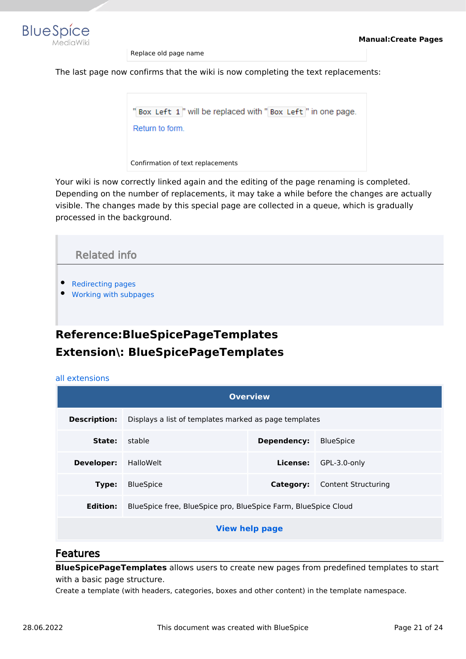

Replace old page name

The last page now confirms that the wiki is now completing the text replacements:

"Box Left 1" will be replaced with "Box Left" in one page. Return to form. Confirmation of text replacements

Your wiki is now correctly linked again and the editing of the page renaming is completed. Depending on the number of replacements, it may take a while before the changes are actually visible. The changes made by this special page are collected in a queue, which is gradually processed in the background.

<span id="page-20-1"></span>

# <span id="page-20-0"></span>**Reference:BlueSpicePageTemplates Extension\: BlueSpicePageTemplates**

#### [all extensions](https://en.wiki.bluespice.com/wiki/Category:Extension)

| <b>Overview</b>                                                                   |                                                       |             |                                      |
|-----------------------------------------------------------------------------------|-------------------------------------------------------|-------------|--------------------------------------|
| <b>Description:</b>                                                               | Displays a list of templates marked as page templates |             |                                      |
| State:                                                                            | stable                                                | Dependency: | <b>BlueSpice</b>                     |
| Developer:                                                                        | HalloWelt                                             | License:    | GPL-3.0-only                         |
| Type:                                                                             | <b>BlueSpice</b>                                      |             | <b>Category:</b> Content Structuring |
| BlueSpice free, BlueSpice pro, BlueSpice Farm, BlueSpice Cloud<br><b>Edition:</b> |                                                       |             |                                      |
| <b>View help page</b>                                                             |                                                       |             |                                      |

### Features

**BlueSpicePageTemplates** allows users to create new pages from predefined templates to start with a basic page structure.

Create a template (with headers, categories, boxes and other content) in the template namespace.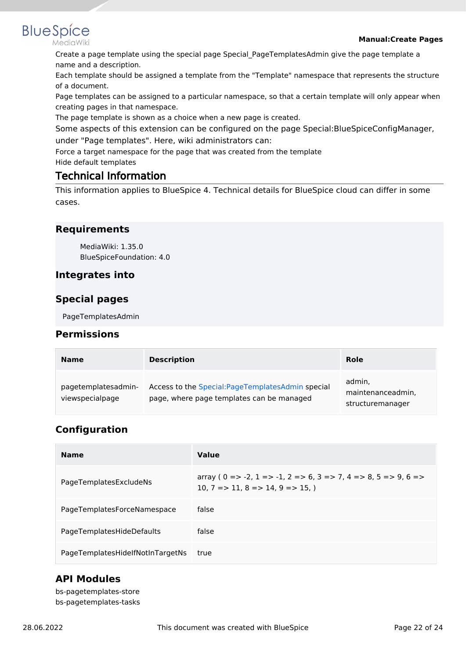### **Manual:Create Pages**

Create a page template using the special page Special\_PageTemplatesAdmin give the page template a name and a description.

Each template should be assigned a template from the "Template" namespace that represents the structure of a document.

Page templates can be assigned to a particular namespace, so that a certain template will only appear when creating pages in that namespace.

The page template is shown as a choice when a new page is created.

Some aspects of this extension can be configured on the page Special:BlueSpiceConfigManager, under "Page templates". Here, wiki administrators can:

Force a target namespace for the page that was created from the template

Hide default templates

## Technical Information

This information applies to BlueSpice 4. Technical details for BlueSpice cloud can differ in some cases.

## **Requirements**

MediaWiki: 1.35.0 BlueSpiceFoundation: 4.0

## **Integrates into**

## **Special pages**

PageTemplatesAdmin

### **Permissions**

| <b>Name</b>                            | <b>Description</b>                                                                             | Role                                            |
|----------------------------------------|------------------------------------------------------------------------------------------------|-------------------------------------------------|
| pagetemplatesadmin-<br>viewspecialpage | Access to the Special: PageTemplatesAdmin special<br>page, where page templates can be managed | admin.<br>maintenanceadmin,<br>structuremanager |

# **Configuration**

| <b>Name</b>                      | Value                                                                                                                                       |
|----------------------------------|---------------------------------------------------------------------------------------------------------------------------------------------|
| PageTemplatesExcludeNs           | array ( $0 = > -2$ , $1 = > -1$ , $2 = > 6$ , $3 = > 7$ , $4 = > 8$ , $5 = > 9$ , $6 = > 1$<br>10, $7 = > 11$ , $8 = > 14$ , $9 = > 15$ , ) |
| PageTemplatesForceNamespace      | false                                                                                                                                       |
| PageTemplatesHideDefaults        | false                                                                                                                                       |
| PageTemplatesHidelfNotInTargetNs | true                                                                                                                                        |

## **API Modules**

bs-pagetemplates-store bs-pagetemplates-tasks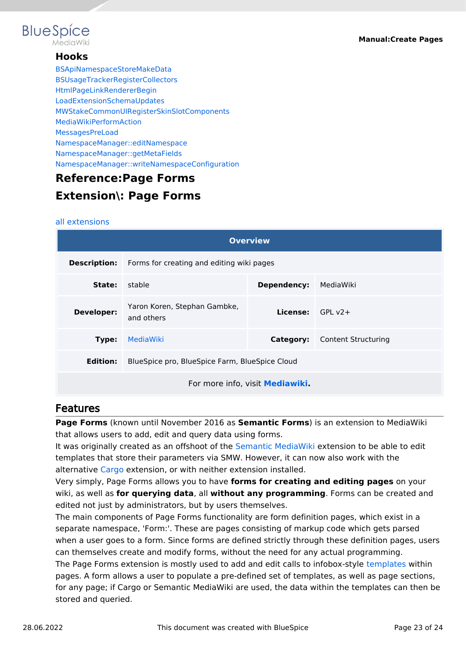

### **Hooks**

[BSApiNamespaceStoreMakeData](https://www.mediawiki.org/wiki/Manual:Hooks/BSApiNamespaceStoreMakeData) [BSUsageTrackerRegisterCollectors](https://www.mediawiki.org/wiki/Manual:Hooks/BSUsageTrackerRegisterCollectors) [HtmlPageLinkRendererBegin](https://www.mediawiki.org/wiki/Manual:Hooks/HtmlPageLinkRendererBegin) [LoadExtensionSchemaUpdates](https://www.mediawiki.org/wiki/Manual:Hooks/LoadExtensionSchemaUpdates) [MWStakeCommonUIRegisterSkinSlotComponents](https://www.mediawiki.org/wiki/Manual:Hooks/MWStakeCommonUIRegisterSkinSlotComponents) [MediaWikiPerformAction](https://www.mediawiki.org/wiki/Manual:Hooks/MediaWikiPerformAction) [MessagesPreLoad](https://www.mediawiki.org/wiki/Manual:Hooks/MessagesPreLoad) [NamespaceManager::editNamespace](https://www.mediawiki.org/wiki/Manual:Hooks/NamespaceManager::editNamespace) [NamespaceManager::getMetaFields](https://www.mediawiki.org/wiki/Manual:Hooks/NamespaceManager::getMetaFields) [NamespaceManager::writeNamespaceConfiguration](https://www.mediawiki.org/wiki/Manual:Hooks/NamespaceManager::writeNamespaceConfiguration)

# <span id="page-22-0"></span>**Reference:Page Forms Extension\: Page Forms**

#### [all extensions](https://en.wiki.bluespice.com/wiki/Category:Extension)

| <b>Overview</b>                                            |                                                               |                           |                                      |
|------------------------------------------------------------|---------------------------------------------------------------|---------------------------|--------------------------------------|
|                                                            | <b>Description:</b> Forms for creating and editing wiki pages |                           |                                      |
| State:                                                     | stable                                                        | Dependency:               | MediaWiki                            |
| <b>Developer:</b>                                          | Yaron Koren, Stephan Gambke,<br>and others                    | <b>License:</b> $GPI V2+$ |                                      |
| Type:                                                      | MediaWiki                                                     |                           | <b>Category:</b> Content Structuring |
| BlueSpice pro, BlueSpice Farm, BlueSpice Cloud<br>Edition: |                                                               |                           |                                      |
| For more info, visit Mediawiki.                            |                                                               |                           |                                      |

## Features

**Page Forms** (known until November 2016 as **Semantic Forms**) is an extension to MediaWiki that allows users to add, edit and query data using forms.

It was originally created as an offshoot of the [Semantic MediaWiki](https://www.mediawiki.org/wiki/Special:MyLanguage/Extension:Semantic_MediaWiki) extension to be able to edit templates that store their parameters via SMW. However, it can now also work with the alternative [Cargo](https://www.mediawiki.org/wiki/Special:MyLanguage/Extension:Cargo) extension, or with neither extension installed.

Very simply, Page Forms allows you to have **forms for creating and editing pages** on your wiki, as well as **for querying data**, all **without any programming**. Forms can be created and edited not just by administrators, but by users themselves.

The main components of Page Forms functionality are form definition pages, which exist in a separate namespace, 'Form:'. These are pages consisting of markup code which gets parsed when a user goes to a form. Since forms are defined strictly through these definition pages, users can themselves create and modify forms, without the need for any actual programming. The Page Forms extension is mostly used to add and edit calls to infobox-style [templates](https://meta.wikimedia.org/wiki/Special:MyLanguage/Help:Template) within pages. A form allows a user to populate a pre-defined set of templates, as well as page sections, for any page; if Cargo or Semantic MediaWiki are used, the data within the templates can then be stored and queried.